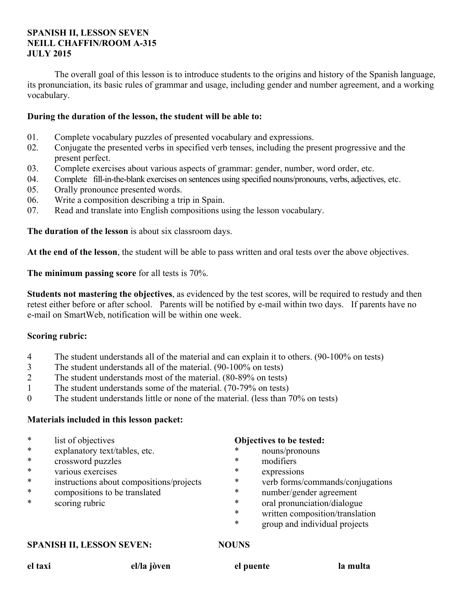#### **SPANISH II, LESSON SEVEN NEILL CHAFFIN/ROOM A-315 JULY 2015**

 The overall goal of this lesson is to introduce students to the origins and history of the Spanish language, its pronunciation, its basic rules of grammar and usage, including gender and number agreement, and a working vocabulary.

#### **During the duration of the lesson, the student will be able to:**

- 01. Complete vocabulary puzzles of presented vocabulary and expressions.
- 02. Conjugate the presented verbs in specified verb tenses, including the present progressive and the present perfect.
- 03. Complete exercises about various aspects of grammar: gender, number, word order, etc.
- 04. Complete fill-in-the-blank exercises on sentences using specified nouns/pronouns, verbs, adjectives, etc.
- 05. Orally pronounce presented words.
- 06. Write a composition describing a trip in Spain.
- 07. Read and translate into English compositions using the lesson vocabulary.

**The duration of the lesson** is about six classroom days.

**At the end of the lesson**, the student will be able to pass written and oral tests over the above objectives.

**The minimum passing score** for all tests is 70%.

**Students not mastering the objectives**, as evidenced by the test scores, will be required to restudy and then retest either before or after school. Parents will be notified by e-mail within two days. If parents have no e-mail on SmartWeb, notification will be within one week.

### **Scoring rubric:**

- 4 The student understands all of the material and can explain it to others. (90-100% on tests)
- 3 The student understands all of the material. (90-100% on tests)
- 2 The student understands most of the material. (80-89% on tests)
- 1 The student understands some of the material. (70-79% on tests)
- 0 The student understands little or none of the material. (less than 70% on tests)

#### **Materials included in this lesson packet:**

- \* list of objectives
- \* explanatory text/tables, etc.
- \* crossword puzzles
- various exercises
- \* instructions about compositions/projects
- \* compositions to be translated
- \* scoring rubric

#### **Objectives to be tested:**

- \* nouns/pronouns
- \* modifiers
- expressions
- \* verb forms/commands/conjugations
- \* number/gender agreement
- \* oral pronunciation/dialogue
- \* written composition/translation
- group and individual projects

#### **SPANISH II, LESSON SEVEN: NOUNS**

**el taxi el/la jòven el puente la multa**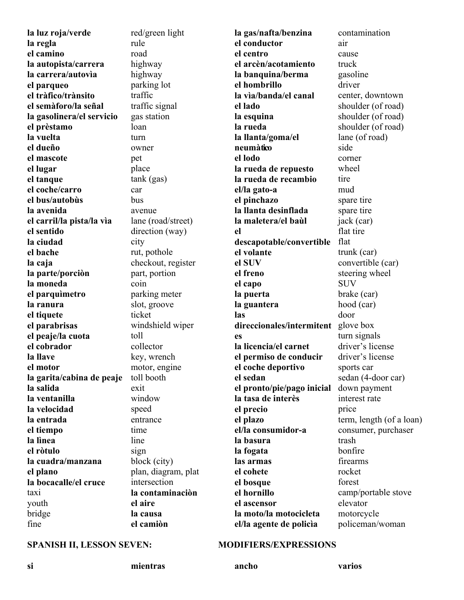**la luz roja/verde la regla el camino la autopista/carrera la carrera/autovìa el parqueo el tràfico/trànsito el semàforo/la señal la gasolinera/el servicio el prèstamo la vuelta el dueño el mascote el lugar el tanque el coche/carro el bus/autobùs la avenida el carril/la pista/la vìa el sentido la ciudad el bache la caja la parte/porciòn la moneda el parquìmetro la ranura el tiquete el parabrisas el peaje/la cuota el cobrador la llave el motor la garita/cabina de peaje la salida la ventanilla la velocidad la entrada el tiempo la lìnea el ròtulo la cuadra/manzana el plano la bocacalle/el cruce** taxi youth bridge fine

red/green light rule road highway highway parking lot traffic traffic signal gas station loan turn owner pet place tank (gas) car bus avenue lane (road/street) direction (way) city rut, pothole checkout, register part, portion coin parking meter slot, groove ticket windshield wiper toll collector key, wrench motor, engine toll booth exit window speed entrance time line sign block (city) plan, diagram, plat intersection **la contaminaciòn el aire la causa** 

**la gas/nafta/benzina el conductor el centro el arcèn/acotamiento la banquina/berma el hombrillo la vìa/banda/el canal el lado la esquina la rueda la llanta/goma/el neumàtico el lodo la rueda de repuesto la rueda de recambio el/la gato-a el pinchazo la llanta desinflada la maletera/el baùl el descapotable/convertible el volante el SUV el freno el capo la puerta la guantera las direccionales/intermitent** glove box **es la licencia/el carnet el permiso de conducir el coche deportivo el sedan el pronto/pie/pago inicial la tasa de interès el precio el plazo el/la consumidor-a la basura la fogata las armas el cohete el bosque el hornillo el ascensor la moto/la motocicleta el/la agente de policìa** air cause truck driver side corner wheel tire mud flat SUV door price trash rocket forest

contamination gasoline center, downtown shoulder (of road) shoulder (of road) shoulder (of road) lane (of road) spare tire spare tire jack (car) flat tire trunk (car) convertible (car) steering wheel brake (car) hood (car) turn signals driver's license driver's license sports car sedan (4-door car) down payment interest rate term, length (of a loan) consumer, purchaser bonfire firearms camp/portable stove elevator motorcycle policeman/woman

#### SPANISH II, LESSON SEVEN: MODIFIERS/EXPRESSIONS

**si mientras ancho varios** 

**el camiòn**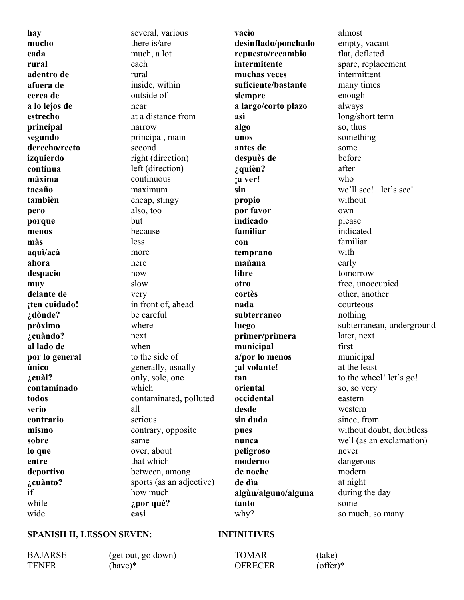**hay mucho cada rural adentro de afuera de cerca de a lo lejos de estrecho principal segundo derecho/recto izquierdo continua màxima tacaño tambièn pero porque menos màs aquì/acà ahora despacio muy delante de ¡ten cuidado! ¿dònde? pròximo ¿cuàndo? al lado de por lo general ùnico ¿cuàl? contaminado todos serio contrario mismo sobre lo que entre deportivo ¿cuànto?** if while wide

several, various there is/are much, a lot each rural inside, within outside of near at a distance from narrow principal, main second right (direction) left (direction) continuous maximum cheap, stingy also, too but because less more here now slow very in front of, ahead be careful where next when to the side of generally, usually only, sole, one which contaminated, polluted all serious contrary, opposite same over, about that which between, among sports (as an adjective) how much **¿por què? casi** 

**vacìo desinflado/ponchado repuesto/recambio intermitente muchas veces suficiente/bastante siempre a largo/corto plazo asì algo unos antes de despuès de ¿quièn? ¡a ver! sin propio por favor indicado familiar con temprano mañana libre otro cortès nada subterraneo luego primer/primera municipal a/por lo menos ¡al volante! tan oriental occidental desde sin duda pues nunca peligroso moderno de noche de dìa algùn/alguno/alguna tanto**  why?

almost empty, vacant flat, deflated spare, replacement intermittent many times enough always long/short term so, thus something some before after who we'll see! let's see! without own please indicated familiar with early tomorrow free, unoccupied other, another courteous nothing subterranean, underground later, next first municipal at the least to the wheel! let's go! so, so very eastern western since, from without doubt, doubtless well (as an exclamation) never dangerous modern at night during the day some so much, so many

#### **SPANISH II, LESSON SEVEN: INFINITIVES**

BAJARSE (get out, go down) TENER (have)\* TOMAR (take)

OFRECER (offer)\*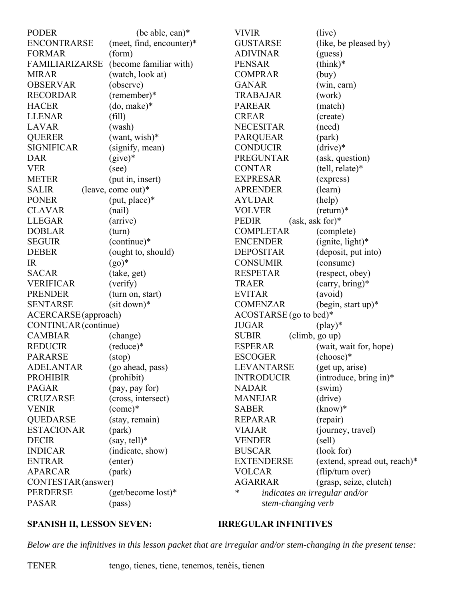| <b>ENCONTRARSE</b><br>(meet, find, encounter)*<br><b>GUSTARSE</b><br>(like, be pleased by)<br><b>FORMAR</b><br>(form)<br><b>ADIVINAR</b><br>(guess)<br>(become familiar with)<br><b>FAMILIARIZARSE</b><br><b>PENSAR</b><br>$(think)*$<br>(watch, look at)<br><b>COMPRAR</b><br><b>MIRAR</b><br>(buy)<br><b>OBSERVAR</b><br>(observe)<br><b>GANAR</b><br>(win, earn)<br><b>RECORDAR</b><br>(remember)*<br><b>TRABAJAR</b><br>(work)<br><b>HACER</b><br>(do, make)*<br><b>PAREAR</b><br>(match)<br>(fill)<br><b>LLENAR</b><br><b>CREAR</b><br>(create)<br><b>NECESITAR</b><br>LAVAR<br>(wash)<br>(need)<br>$(want, wish)*$<br><b>QUERER</b><br><b>PARQUEAR</b><br>(park)<br><b>SIGNIFICAR</b><br><b>CONDUCIR</b><br>$(drive)*$<br>(signify, mean)<br><b>DAR</b><br>$(give)*$<br><b>PREGUNTAR</b><br>(ask, question)<br><b>VER</b><br><b>CONTAR</b><br>(tell, relate)*<br>(see)<br><b>METER</b><br><b>EXPRESAR</b><br>(express)<br>(put in, insert)<br>(leave, come out)*<br><b>APRENDER</b><br>(learn)<br><b>SALIR</b><br><b>PONER</b><br>$(\text{put}, \text{place})^*$<br><b>AYUDAR</b><br>(help)<br><b>VOLVER</b><br>$(\text{return})^*$<br><b>CLAVAR</b><br>(nail)<br>$(ask, ask for)*$<br><b>LLEGAR</b><br><b>PEDIR</b><br>(arrive)<br><b>DOBLAR</b><br><b>COMPLETAR</b><br>(turn)<br>(complete)<br>(continue)*<br><b>SEGUIR</b><br><b>ENCENDER</b><br>$(ignite, light)*$<br><b>DEBER</b><br>(ought to, should)<br><b>DEPOSITAR</b><br>(deposit, put into)<br><b>IR</b><br>$(g_0)^*$<br><b>CONSUMIR</b><br>(consume)<br><b>SACAR</b><br><b>RESPETAR</b><br>(respect, obey)<br>(take, get)<br><b>VERIFICAR</b><br>(carry, bring)*<br>(verify)<br><b>TRAER</b><br><b>PRENDER</b><br><b>EVITAR</b><br>(turn on, start)<br>(avoid)<br>$(sit down)*$<br><b>SENTARSE</b><br><b>COMENZAR</b><br>$(\text{begin}, \text{start up})^*$<br>ACERCARSE (approach)<br>ACOSTARSE (go to bed)*<br>CONTINUAR (continue)<br><b>JUGAR</b><br>$(\text{play})^*$<br><b>CAMBIAR</b><br><b>SUBIR</b><br>(climb, go up)<br>(change)<br><b>REDUCIR</b><br>$(reduce)*$<br><b>ESPERAR</b><br>(wait, wait for, hope)<br><b>PARARSE</b><br><b>ESCOGER</b><br>$(choose)*$<br>$(\text{stop})$<br>LEVANTARSE<br><b>ADELANTAR</b><br>(go ahead, pass)<br>(get up, arise)<br><b>PROHIBIR</b><br>(prohibit)<br>(introduce, bring in) $*$<br><b>INTRODUCIR</b><br><b>PAGAR</b><br>(pay, pay for)<br><b>NADAR</b><br>(swin)<br><b>CRUZARSE</b><br><b>MANEJAR</b><br>(drive)<br>(cross, intersect)<br>$(\text{come})^*$<br><b>VENIR</b><br><b>SABER</b><br>$(know)*$<br><b>QUEDARSE</b><br>(stay, remain)<br><b>REPARAR</b><br>(repair)<br><b>ESTACIONAR</b><br>(park)<br>(journey, travel)<br><b>VIAJAR</b><br>$(say, tell)*$<br><b>DECIR</b><br><b>VENDER</b><br>(self)<br><b>INDICAR</b><br>(indicate, show)<br><b>BUSCAR</b><br>(look for)<br><b>ENTRAR</b><br><b>EXTENDERSE</b><br>(extend, spread out, reach)*<br>(enter)<br><b>APARCAR</b><br><b>VOLCAR</b><br>(flip/turn over)<br>(park)<br><b>AGARRAR</b><br>(grasp, seize, clutch)<br>CONTESTAR (answer)<br>$(get/become lost)*$<br>PERDERSE<br>$\ast$<br>indicates an irregular and/or | <b>PODER</b> | (be able, can)* | <b>VIVIR</b> | (live) |
|----------------------------------------------------------------------------------------------------------------------------------------------------------------------------------------------------------------------------------------------------------------------------------------------------------------------------------------------------------------------------------------------------------------------------------------------------------------------------------------------------------------------------------------------------------------------------------------------------------------------------------------------------------------------------------------------------------------------------------------------------------------------------------------------------------------------------------------------------------------------------------------------------------------------------------------------------------------------------------------------------------------------------------------------------------------------------------------------------------------------------------------------------------------------------------------------------------------------------------------------------------------------------------------------------------------------------------------------------------------------------------------------------------------------------------------------------------------------------------------------------------------------------------------------------------------------------------------------------------------------------------------------------------------------------------------------------------------------------------------------------------------------------------------------------------------------------------------------------------------------------------------------------------------------------------------------------------------------------------------------------------------------------------------------------------------------------------------------------------------------------------------------------------------------------------------------------------------------------------------------------------------------------------------------------------------------------------------------------------------------------------------------------------------------------------------------------------------------------------------------------------------------------------------------------------------------------------------------------------------------------------------------------------------------------------------------------------------------------------------------------------------------------------------------------------------------------------------------------------------------------------------------------------------------------------------------------------------------------------------------------------------------------------------------------------------------------------------------------------------|--------------|-----------------|--------------|--------|
|                                                                                                                                                                                                                                                                                                                                                                                                                                                                                                                                                                                                                                                                                                                                                                                                                                                                                                                                                                                                                                                                                                                                                                                                                                                                                                                                                                                                                                                                                                                                                                                                                                                                                                                                                                                                                                                                                                                                                                                                                                                                                                                                                                                                                                                                                                                                                                                                                                                                                                                                                                                                                                                                                                                                                                                                                                                                                                                                                                                                                                                                                                                |              |                 |              |        |
|                                                                                                                                                                                                                                                                                                                                                                                                                                                                                                                                                                                                                                                                                                                                                                                                                                                                                                                                                                                                                                                                                                                                                                                                                                                                                                                                                                                                                                                                                                                                                                                                                                                                                                                                                                                                                                                                                                                                                                                                                                                                                                                                                                                                                                                                                                                                                                                                                                                                                                                                                                                                                                                                                                                                                                                                                                                                                                                                                                                                                                                                                                                |              |                 |              |        |
|                                                                                                                                                                                                                                                                                                                                                                                                                                                                                                                                                                                                                                                                                                                                                                                                                                                                                                                                                                                                                                                                                                                                                                                                                                                                                                                                                                                                                                                                                                                                                                                                                                                                                                                                                                                                                                                                                                                                                                                                                                                                                                                                                                                                                                                                                                                                                                                                                                                                                                                                                                                                                                                                                                                                                                                                                                                                                                                                                                                                                                                                                                                |              |                 |              |        |
|                                                                                                                                                                                                                                                                                                                                                                                                                                                                                                                                                                                                                                                                                                                                                                                                                                                                                                                                                                                                                                                                                                                                                                                                                                                                                                                                                                                                                                                                                                                                                                                                                                                                                                                                                                                                                                                                                                                                                                                                                                                                                                                                                                                                                                                                                                                                                                                                                                                                                                                                                                                                                                                                                                                                                                                                                                                                                                                                                                                                                                                                                                                |              |                 |              |        |
|                                                                                                                                                                                                                                                                                                                                                                                                                                                                                                                                                                                                                                                                                                                                                                                                                                                                                                                                                                                                                                                                                                                                                                                                                                                                                                                                                                                                                                                                                                                                                                                                                                                                                                                                                                                                                                                                                                                                                                                                                                                                                                                                                                                                                                                                                                                                                                                                                                                                                                                                                                                                                                                                                                                                                                                                                                                                                                                                                                                                                                                                                                                |              |                 |              |        |
|                                                                                                                                                                                                                                                                                                                                                                                                                                                                                                                                                                                                                                                                                                                                                                                                                                                                                                                                                                                                                                                                                                                                                                                                                                                                                                                                                                                                                                                                                                                                                                                                                                                                                                                                                                                                                                                                                                                                                                                                                                                                                                                                                                                                                                                                                                                                                                                                                                                                                                                                                                                                                                                                                                                                                                                                                                                                                                                                                                                                                                                                                                                |              |                 |              |        |
|                                                                                                                                                                                                                                                                                                                                                                                                                                                                                                                                                                                                                                                                                                                                                                                                                                                                                                                                                                                                                                                                                                                                                                                                                                                                                                                                                                                                                                                                                                                                                                                                                                                                                                                                                                                                                                                                                                                                                                                                                                                                                                                                                                                                                                                                                                                                                                                                                                                                                                                                                                                                                                                                                                                                                                                                                                                                                                                                                                                                                                                                                                                |              |                 |              |        |
|                                                                                                                                                                                                                                                                                                                                                                                                                                                                                                                                                                                                                                                                                                                                                                                                                                                                                                                                                                                                                                                                                                                                                                                                                                                                                                                                                                                                                                                                                                                                                                                                                                                                                                                                                                                                                                                                                                                                                                                                                                                                                                                                                                                                                                                                                                                                                                                                                                                                                                                                                                                                                                                                                                                                                                                                                                                                                                                                                                                                                                                                                                                |              |                 |              |        |
|                                                                                                                                                                                                                                                                                                                                                                                                                                                                                                                                                                                                                                                                                                                                                                                                                                                                                                                                                                                                                                                                                                                                                                                                                                                                                                                                                                                                                                                                                                                                                                                                                                                                                                                                                                                                                                                                                                                                                                                                                                                                                                                                                                                                                                                                                                                                                                                                                                                                                                                                                                                                                                                                                                                                                                                                                                                                                                                                                                                                                                                                                                                |              |                 |              |        |
|                                                                                                                                                                                                                                                                                                                                                                                                                                                                                                                                                                                                                                                                                                                                                                                                                                                                                                                                                                                                                                                                                                                                                                                                                                                                                                                                                                                                                                                                                                                                                                                                                                                                                                                                                                                                                                                                                                                                                                                                                                                                                                                                                                                                                                                                                                                                                                                                                                                                                                                                                                                                                                                                                                                                                                                                                                                                                                                                                                                                                                                                                                                |              |                 |              |        |
|                                                                                                                                                                                                                                                                                                                                                                                                                                                                                                                                                                                                                                                                                                                                                                                                                                                                                                                                                                                                                                                                                                                                                                                                                                                                                                                                                                                                                                                                                                                                                                                                                                                                                                                                                                                                                                                                                                                                                                                                                                                                                                                                                                                                                                                                                                                                                                                                                                                                                                                                                                                                                                                                                                                                                                                                                                                                                                                                                                                                                                                                                                                |              |                 |              |        |
|                                                                                                                                                                                                                                                                                                                                                                                                                                                                                                                                                                                                                                                                                                                                                                                                                                                                                                                                                                                                                                                                                                                                                                                                                                                                                                                                                                                                                                                                                                                                                                                                                                                                                                                                                                                                                                                                                                                                                                                                                                                                                                                                                                                                                                                                                                                                                                                                                                                                                                                                                                                                                                                                                                                                                                                                                                                                                                                                                                                                                                                                                                                |              |                 |              |        |
|                                                                                                                                                                                                                                                                                                                                                                                                                                                                                                                                                                                                                                                                                                                                                                                                                                                                                                                                                                                                                                                                                                                                                                                                                                                                                                                                                                                                                                                                                                                                                                                                                                                                                                                                                                                                                                                                                                                                                                                                                                                                                                                                                                                                                                                                                                                                                                                                                                                                                                                                                                                                                                                                                                                                                                                                                                                                                                                                                                                                                                                                                                                |              |                 |              |        |
|                                                                                                                                                                                                                                                                                                                                                                                                                                                                                                                                                                                                                                                                                                                                                                                                                                                                                                                                                                                                                                                                                                                                                                                                                                                                                                                                                                                                                                                                                                                                                                                                                                                                                                                                                                                                                                                                                                                                                                                                                                                                                                                                                                                                                                                                                                                                                                                                                                                                                                                                                                                                                                                                                                                                                                                                                                                                                                                                                                                                                                                                                                                |              |                 |              |        |
|                                                                                                                                                                                                                                                                                                                                                                                                                                                                                                                                                                                                                                                                                                                                                                                                                                                                                                                                                                                                                                                                                                                                                                                                                                                                                                                                                                                                                                                                                                                                                                                                                                                                                                                                                                                                                                                                                                                                                                                                                                                                                                                                                                                                                                                                                                                                                                                                                                                                                                                                                                                                                                                                                                                                                                                                                                                                                                                                                                                                                                                                                                                |              |                 |              |        |
|                                                                                                                                                                                                                                                                                                                                                                                                                                                                                                                                                                                                                                                                                                                                                                                                                                                                                                                                                                                                                                                                                                                                                                                                                                                                                                                                                                                                                                                                                                                                                                                                                                                                                                                                                                                                                                                                                                                                                                                                                                                                                                                                                                                                                                                                                                                                                                                                                                                                                                                                                                                                                                                                                                                                                                                                                                                                                                                                                                                                                                                                                                                |              |                 |              |        |
|                                                                                                                                                                                                                                                                                                                                                                                                                                                                                                                                                                                                                                                                                                                                                                                                                                                                                                                                                                                                                                                                                                                                                                                                                                                                                                                                                                                                                                                                                                                                                                                                                                                                                                                                                                                                                                                                                                                                                                                                                                                                                                                                                                                                                                                                                                                                                                                                                                                                                                                                                                                                                                                                                                                                                                                                                                                                                                                                                                                                                                                                                                                |              |                 |              |        |
|                                                                                                                                                                                                                                                                                                                                                                                                                                                                                                                                                                                                                                                                                                                                                                                                                                                                                                                                                                                                                                                                                                                                                                                                                                                                                                                                                                                                                                                                                                                                                                                                                                                                                                                                                                                                                                                                                                                                                                                                                                                                                                                                                                                                                                                                                                                                                                                                                                                                                                                                                                                                                                                                                                                                                                                                                                                                                                                                                                                                                                                                                                                |              |                 |              |        |
|                                                                                                                                                                                                                                                                                                                                                                                                                                                                                                                                                                                                                                                                                                                                                                                                                                                                                                                                                                                                                                                                                                                                                                                                                                                                                                                                                                                                                                                                                                                                                                                                                                                                                                                                                                                                                                                                                                                                                                                                                                                                                                                                                                                                                                                                                                                                                                                                                                                                                                                                                                                                                                                                                                                                                                                                                                                                                                                                                                                                                                                                                                                |              |                 |              |        |
|                                                                                                                                                                                                                                                                                                                                                                                                                                                                                                                                                                                                                                                                                                                                                                                                                                                                                                                                                                                                                                                                                                                                                                                                                                                                                                                                                                                                                                                                                                                                                                                                                                                                                                                                                                                                                                                                                                                                                                                                                                                                                                                                                                                                                                                                                                                                                                                                                                                                                                                                                                                                                                                                                                                                                                                                                                                                                                                                                                                                                                                                                                                |              |                 |              |        |
|                                                                                                                                                                                                                                                                                                                                                                                                                                                                                                                                                                                                                                                                                                                                                                                                                                                                                                                                                                                                                                                                                                                                                                                                                                                                                                                                                                                                                                                                                                                                                                                                                                                                                                                                                                                                                                                                                                                                                                                                                                                                                                                                                                                                                                                                                                                                                                                                                                                                                                                                                                                                                                                                                                                                                                                                                                                                                                                                                                                                                                                                                                                |              |                 |              |        |
|                                                                                                                                                                                                                                                                                                                                                                                                                                                                                                                                                                                                                                                                                                                                                                                                                                                                                                                                                                                                                                                                                                                                                                                                                                                                                                                                                                                                                                                                                                                                                                                                                                                                                                                                                                                                                                                                                                                                                                                                                                                                                                                                                                                                                                                                                                                                                                                                                                                                                                                                                                                                                                                                                                                                                                                                                                                                                                                                                                                                                                                                                                                |              |                 |              |        |
|                                                                                                                                                                                                                                                                                                                                                                                                                                                                                                                                                                                                                                                                                                                                                                                                                                                                                                                                                                                                                                                                                                                                                                                                                                                                                                                                                                                                                                                                                                                                                                                                                                                                                                                                                                                                                                                                                                                                                                                                                                                                                                                                                                                                                                                                                                                                                                                                                                                                                                                                                                                                                                                                                                                                                                                                                                                                                                                                                                                                                                                                                                                |              |                 |              |        |
|                                                                                                                                                                                                                                                                                                                                                                                                                                                                                                                                                                                                                                                                                                                                                                                                                                                                                                                                                                                                                                                                                                                                                                                                                                                                                                                                                                                                                                                                                                                                                                                                                                                                                                                                                                                                                                                                                                                                                                                                                                                                                                                                                                                                                                                                                                                                                                                                                                                                                                                                                                                                                                                                                                                                                                                                                                                                                                                                                                                                                                                                                                                |              |                 |              |        |
|                                                                                                                                                                                                                                                                                                                                                                                                                                                                                                                                                                                                                                                                                                                                                                                                                                                                                                                                                                                                                                                                                                                                                                                                                                                                                                                                                                                                                                                                                                                                                                                                                                                                                                                                                                                                                                                                                                                                                                                                                                                                                                                                                                                                                                                                                                                                                                                                                                                                                                                                                                                                                                                                                                                                                                                                                                                                                                                                                                                                                                                                                                                |              |                 |              |        |
|                                                                                                                                                                                                                                                                                                                                                                                                                                                                                                                                                                                                                                                                                                                                                                                                                                                                                                                                                                                                                                                                                                                                                                                                                                                                                                                                                                                                                                                                                                                                                                                                                                                                                                                                                                                                                                                                                                                                                                                                                                                                                                                                                                                                                                                                                                                                                                                                                                                                                                                                                                                                                                                                                                                                                                                                                                                                                                                                                                                                                                                                                                                |              |                 |              |        |
|                                                                                                                                                                                                                                                                                                                                                                                                                                                                                                                                                                                                                                                                                                                                                                                                                                                                                                                                                                                                                                                                                                                                                                                                                                                                                                                                                                                                                                                                                                                                                                                                                                                                                                                                                                                                                                                                                                                                                                                                                                                                                                                                                                                                                                                                                                                                                                                                                                                                                                                                                                                                                                                                                                                                                                                                                                                                                                                                                                                                                                                                                                                |              |                 |              |        |
|                                                                                                                                                                                                                                                                                                                                                                                                                                                                                                                                                                                                                                                                                                                                                                                                                                                                                                                                                                                                                                                                                                                                                                                                                                                                                                                                                                                                                                                                                                                                                                                                                                                                                                                                                                                                                                                                                                                                                                                                                                                                                                                                                                                                                                                                                                                                                                                                                                                                                                                                                                                                                                                                                                                                                                                                                                                                                                                                                                                                                                                                                                                |              |                 |              |        |
|                                                                                                                                                                                                                                                                                                                                                                                                                                                                                                                                                                                                                                                                                                                                                                                                                                                                                                                                                                                                                                                                                                                                                                                                                                                                                                                                                                                                                                                                                                                                                                                                                                                                                                                                                                                                                                                                                                                                                                                                                                                                                                                                                                                                                                                                                                                                                                                                                                                                                                                                                                                                                                                                                                                                                                                                                                                                                                                                                                                                                                                                                                                |              |                 |              |        |
|                                                                                                                                                                                                                                                                                                                                                                                                                                                                                                                                                                                                                                                                                                                                                                                                                                                                                                                                                                                                                                                                                                                                                                                                                                                                                                                                                                                                                                                                                                                                                                                                                                                                                                                                                                                                                                                                                                                                                                                                                                                                                                                                                                                                                                                                                                                                                                                                                                                                                                                                                                                                                                                                                                                                                                                                                                                                                                                                                                                                                                                                                                                |              |                 |              |        |
|                                                                                                                                                                                                                                                                                                                                                                                                                                                                                                                                                                                                                                                                                                                                                                                                                                                                                                                                                                                                                                                                                                                                                                                                                                                                                                                                                                                                                                                                                                                                                                                                                                                                                                                                                                                                                                                                                                                                                                                                                                                                                                                                                                                                                                                                                                                                                                                                                                                                                                                                                                                                                                                                                                                                                                                                                                                                                                                                                                                                                                                                                                                |              |                 |              |        |
|                                                                                                                                                                                                                                                                                                                                                                                                                                                                                                                                                                                                                                                                                                                                                                                                                                                                                                                                                                                                                                                                                                                                                                                                                                                                                                                                                                                                                                                                                                                                                                                                                                                                                                                                                                                                                                                                                                                                                                                                                                                                                                                                                                                                                                                                                                                                                                                                                                                                                                                                                                                                                                                                                                                                                                                                                                                                                                                                                                                                                                                                                                                |              |                 |              |        |
|                                                                                                                                                                                                                                                                                                                                                                                                                                                                                                                                                                                                                                                                                                                                                                                                                                                                                                                                                                                                                                                                                                                                                                                                                                                                                                                                                                                                                                                                                                                                                                                                                                                                                                                                                                                                                                                                                                                                                                                                                                                                                                                                                                                                                                                                                                                                                                                                                                                                                                                                                                                                                                                                                                                                                                                                                                                                                                                                                                                                                                                                                                                |              |                 |              |        |
|                                                                                                                                                                                                                                                                                                                                                                                                                                                                                                                                                                                                                                                                                                                                                                                                                                                                                                                                                                                                                                                                                                                                                                                                                                                                                                                                                                                                                                                                                                                                                                                                                                                                                                                                                                                                                                                                                                                                                                                                                                                                                                                                                                                                                                                                                                                                                                                                                                                                                                                                                                                                                                                                                                                                                                                                                                                                                                                                                                                                                                                                                                                |              |                 |              |        |
|                                                                                                                                                                                                                                                                                                                                                                                                                                                                                                                                                                                                                                                                                                                                                                                                                                                                                                                                                                                                                                                                                                                                                                                                                                                                                                                                                                                                                                                                                                                                                                                                                                                                                                                                                                                                                                                                                                                                                                                                                                                                                                                                                                                                                                                                                                                                                                                                                                                                                                                                                                                                                                                                                                                                                                                                                                                                                                                                                                                                                                                                                                                |              |                 |              |        |
|                                                                                                                                                                                                                                                                                                                                                                                                                                                                                                                                                                                                                                                                                                                                                                                                                                                                                                                                                                                                                                                                                                                                                                                                                                                                                                                                                                                                                                                                                                                                                                                                                                                                                                                                                                                                                                                                                                                                                                                                                                                                                                                                                                                                                                                                                                                                                                                                                                                                                                                                                                                                                                                                                                                                                                                                                                                                                                                                                                                                                                                                                                                |              |                 |              |        |
|                                                                                                                                                                                                                                                                                                                                                                                                                                                                                                                                                                                                                                                                                                                                                                                                                                                                                                                                                                                                                                                                                                                                                                                                                                                                                                                                                                                                                                                                                                                                                                                                                                                                                                                                                                                                                                                                                                                                                                                                                                                                                                                                                                                                                                                                                                                                                                                                                                                                                                                                                                                                                                                                                                                                                                                                                                                                                                                                                                                                                                                                                                                |              |                 |              |        |
|                                                                                                                                                                                                                                                                                                                                                                                                                                                                                                                                                                                                                                                                                                                                                                                                                                                                                                                                                                                                                                                                                                                                                                                                                                                                                                                                                                                                                                                                                                                                                                                                                                                                                                                                                                                                                                                                                                                                                                                                                                                                                                                                                                                                                                                                                                                                                                                                                                                                                                                                                                                                                                                                                                                                                                                                                                                                                                                                                                                                                                                                                                                |              |                 |              |        |
|                                                                                                                                                                                                                                                                                                                                                                                                                                                                                                                                                                                                                                                                                                                                                                                                                                                                                                                                                                                                                                                                                                                                                                                                                                                                                                                                                                                                                                                                                                                                                                                                                                                                                                                                                                                                                                                                                                                                                                                                                                                                                                                                                                                                                                                                                                                                                                                                                                                                                                                                                                                                                                                                                                                                                                                                                                                                                                                                                                                                                                                                                                                |              |                 |              |        |
|                                                                                                                                                                                                                                                                                                                                                                                                                                                                                                                                                                                                                                                                                                                                                                                                                                                                                                                                                                                                                                                                                                                                                                                                                                                                                                                                                                                                                                                                                                                                                                                                                                                                                                                                                                                                                                                                                                                                                                                                                                                                                                                                                                                                                                                                                                                                                                                                                                                                                                                                                                                                                                                                                                                                                                                                                                                                                                                                                                                                                                                                                                                |              |                 |              |        |
|                                                                                                                                                                                                                                                                                                                                                                                                                                                                                                                                                                                                                                                                                                                                                                                                                                                                                                                                                                                                                                                                                                                                                                                                                                                                                                                                                                                                                                                                                                                                                                                                                                                                                                                                                                                                                                                                                                                                                                                                                                                                                                                                                                                                                                                                                                                                                                                                                                                                                                                                                                                                                                                                                                                                                                                                                                                                                                                                                                                                                                                                                                                |              |                 |              |        |
|                                                                                                                                                                                                                                                                                                                                                                                                                                                                                                                                                                                                                                                                                                                                                                                                                                                                                                                                                                                                                                                                                                                                                                                                                                                                                                                                                                                                                                                                                                                                                                                                                                                                                                                                                                                                                                                                                                                                                                                                                                                                                                                                                                                                                                                                                                                                                                                                                                                                                                                                                                                                                                                                                                                                                                                                                                                                                                                                                                                                                                                                                                                |              |                 |              |        |
|                                                                                                                                                                                                                                                                                                                                                                                                                                                                                                                                                                                                                                                                                                                                                                                                                                                                                                                                                                                                                                                                                                                                                                                                                                                                                                                                                                                                                                                                                                                                                                                                                                                                                                                                                                                                                                                                                                                                                                                                                                                                                                                                                                                                                                                                                                                                                                                                                                                                                                                                                                                                                                                                                                                                                                                                                                                                                                                                                                                                                                                                                                                |              |                 |              |        |
|                                                                                                                                                                                                                                                                                                                                                                                                                                                                                                                                                                                                                                                                                                                                                                                                                                                                                                                                                                                                                                                                                                                                                                                                                                                                                                                                                                                                                                                                                                                                                                                                                                                                                                                                                                                                                                                                                                                                                                                                                                                                                                                                                                                                                                                                                                                                                                                                                                                                                                                                                                                                                                                                                                                                                                                                                                                                                                                                                                                                                                                                                                                |              |                 |              |        |
| stem-changing verb                                                                                                                                                                                                                                                                                                                                                                                                                                                                                                                                                                                                                                                                                                                                                                                                                                                                                                                                                                                                                                                                                                                                                                                                                                                                                                                                                                                                                                                                                                                                                                                                                                                                                                                                                                                                                                                                                                                                                                                                                                                                                                                                                                                                                                                                                                                                                                                                                                                                                                                                                                                                                                                                                                                                                                                                                                                                                                                                                                                                                                                                                             | <b>PASAR</b> | (pass)          |              |        |

### **SPANISH II, LESSON SEVEN: IRREGULAR INFINITIVES**

*Below are the infinitives in this lesson packet that are irregular and/or stem-changing in the present tense:*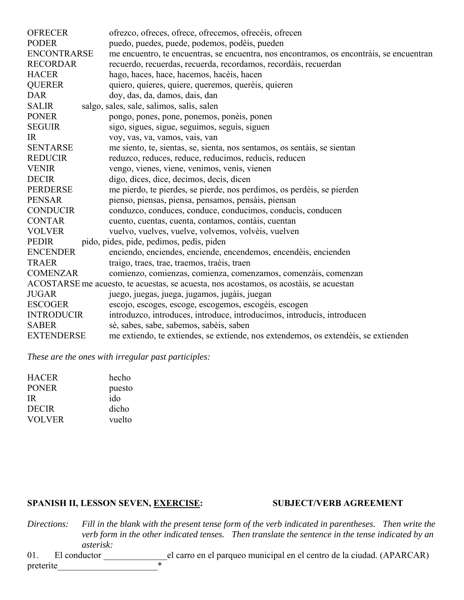| <b>OFRECER</b>     | ofrezco, ofreces, ofrece, ofrecemos, ofreceis, ofrecen                                   |
|--------------------|------------------------------------------------------------------------------------------|
| <b>PODER</b>       | puedo, puedes, puede, podemos, podèis, pueden                                            |
| <b>ENCONTRARSE</b> | me encuentro, te encuentras, se encuentra, nos encontramos, os encontrais, se encuentran |
| <b>RECORDAR</b>    | recuerdo, recuerdas, recuerda, recordamos, recordàis, recuerdan                          |
| <b>HACER</b>       | hago, haces, hace, hacemos, hacèis, hacen                                                |
| <b>QUERER</b>      | quiero, quieres, quiere, queremos, querèis, quieren                                      |
| <b>DAR</b>         | doy, das, da, damos, dais, dan                                                           |
| <b>SALIR</b>       | salgo, sales, sale, salimos, salis, salen                                                |
| <b>PONER</b>       | pongo, pones, pone, ponemos, poneis, ponen                                               |
| <b>SEGUIR</b>      | sigo, sigues, sigue, seguimos, seguis, siguen                                            |
| IR                 | voy, vas, va, vamos, vais, van                                                           |
| <b>SENTARSE</b>    | me siento, te, sientas, se, sienta, nos sentamos, os sentáis, se sientan                 |
| <b>REDUCIR</b>     | reduzco, reduces, reduce, reducimos, reducis, reducen                                    |
| <b>VENIR</b>       | vengo, vienes, viene, venimos, venis, vienen                                             |
| <b>DECIR</b>       | digo, dices, dice, decimos, decis, dicen                                                 |
| <b>PERDERSE</b>    | me pierdo, te pierdes, se pierde, nos perdimos, os perdèis, se pierden                   |
| <b>PENSAR</b>      | pienso, piensas, piensa, pensamos, pensàis, piensan                                      |
| <b>CONDUCIR</b>    | conduzco, conduces, conduce, conducimos, conducis, conducen                              |
| <b>CONTAR</b>      | cuento, cuentas, cuenta, contamos, contàis, cuentan                                      |
| <b>VOLVER</b>      | vuelvo, vuelves, vuelve, volvemos, volvèis, vuelven                                      |
| <b>PEDIR</b>       | pido, pides, pide, pedimos, pedis, piden                                                 |
| <b>ENCENDER</b>    | enciendo, enciendes, enciende, encendemos, encendèis, encienden                          |
| <b>TRAER</b>       | traigo, traes, trae, traemos, traèis, traen                                              |
| <b>COMENZAR</b>    | comienzo, comienzas, comienza, comenzamos, comenzais, comenzan                           |
|                    | ACOSTARSE me acuesto, te acuestas, se acuesta, nos acostamos, os acostáis, se acuestan   |
| <b>JUGAR</b>       | juego, juegas, juega, jugamos, jugais, juegan                                            |
| <b>ESCOGER</b>     | escojo, escoges, escoge, escogemos, escogèis, escogen                                    |
| <b>INTRODUCIR</b>  | introduzco, introduces, introduce, introducimos, introducis, introducen                  |
| <b>SABER</b>       | sè, sabes, sabe, sabemos, sabèis, saben                                                  |
| <b>EXTENDERSE</b>  | me extiendo, te extiendes, se extiende, nos extendemos, os extendêis, se extienden       |
|                    |                                                                                          |

*These are the ones with irregular past participles:*

| <b>HACER</b>  | hecho  |
|---------------|--------|
| <b>PONER</b>  | puesto |
| IR.           | ido    |
| <b>DECIR</b>  | dicho  |
| <b>VOLVER</b> | vuelto |

#### SPANISH II, LESSON SEVEN, EXERCISE: SUBJECT/VERB AGREEMENT

*Directions: Fill in the blank with the present tense form of the verb indicated in parentheses. Then write the verb form in the other indicated tenses. Then translate the sentence in the tense indicated by an asterisk:*

01. El conductor \_\_\_\_\_\_\_\_\_\_\_\_\_\_el carro en el parqueo municipal en el centro de la ciudad. (APARCAR) preterite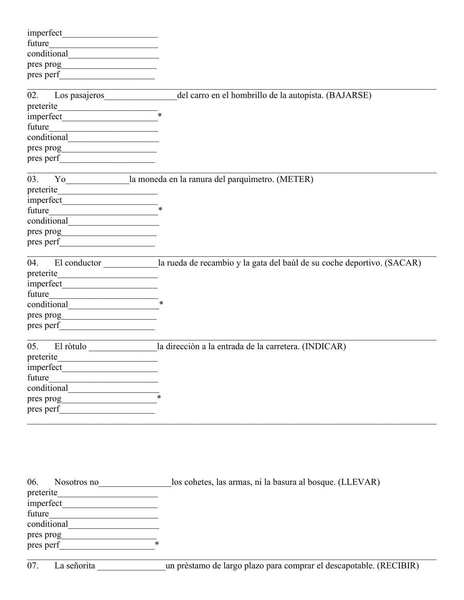| future                                                        |                                                                                     |
|---------------------------------------------------------------|-------------------------------------------------------------------------------------|
| conditional conditional                                       |                                                                                     |
| pres prog                                                     |                                                                                     |
| pres perf                                                     |                                                                                     |
|                                                               |                                                                                     |
| Los pasajeros<br>02.                                          | del carro en el hombrillo de la autopista. (BAJARSE)                                |
| preterite<br><u>.</u>                                         |                                                                                     |
| imperfect                                                     | $\ast$                                                                              |
| future                                                        |                                                                                     |
| conditional                                                   |                                                                                     |
| pres prog                                                     |                                                                                     |
|                                                               |                                                                                     |
|                                                               |                                                                                     |
| 03.                                                           | Yo la moneda en la ranura del parquimetro. (METER)                                  |
| preterite                                                     |                                                                                     |
|                                                               |                                                                                     |
| future                                                        |                                                                                     |
|                                                               |                                                                                     |
| pres prog                                                     |                                                                                     |
|                                                               |                                                                                     |
|                                                               |                                                                                     |
| 04.                                                           | El conductor la rueda de recambio y la gata del baùl de su coche deportivo. (SACAR) |
| preterite                                                     |                                                                                     |
|                                                               |                                                                                     |
| future<br><u> 1980 - Andrea Andrew Maria III, martin a bh</u> |                                                                                     |
|                                                               |                                                                                     |
|                                                               |                                                                                     |
| pres perf                                                     |                                                                                     |
|                                                               |                                                                                     |
| 05.                                                           | El ròtulo la dirección a la entrada de la carretera. (INDICAR)                      |
| preterite                                                     |                                                                                     |
| imperfect                                                     |                                                                                     |
| future                                                        |                                                                                     |
| conditional                                                   |                                                                                     |
| pres prog                                                     | *                                                                                   |
| pres perf                                                     |                                                                                     |
|                                                               |                                                                                     |

| 06.<br>Nosotros no | los cohetes, las armas, ni la basura al bosque. (LLEVAR) |
|--------------------|----------------------------------------------------------|
| preterite          |                                                          |
| imperfect          |                                                          |
| future             |                                                          |
| conditional        |                                                          |
| pres prog          |                                                          |
| *<br>pres perf     |                                                          |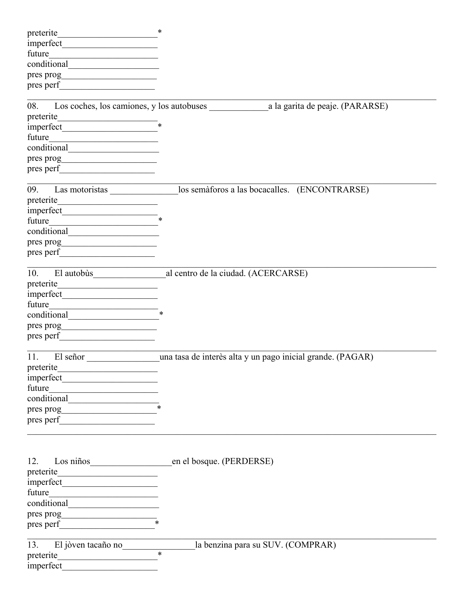|                                                                                                                                | $*$                                                                     |
|--------------------------------------------------------------------------------------------------------------------------------|-------------------------------------------------------------------------|
|                                                                                                                                |                                                                         |
| future                                                                                                                         |                                                                         |
|                                                                                                                                |                                                                         |
|                                                                                                                                |                                                                         |
|                                                                                                                                |                                                                         |
|                                                                                                                                |                                                                         |
|                                                                                                                                |                                                                         |
| $\text{preterite}$ *                                                                                                           |                                                                         |
|                                                                                                                                |                                                                         |
| future                                                                                                                         |                                                                         |
|                                                                                                                                |                                                                         |
|                                                                                                                                |                                                                         |
|                                                                                                                                |                                                                         |
|                                                                                                                                |                                                                         |
|                                                                                                                                | los semàforos a las bocacalles. (ENCONTRARSE)                           |
| preterite                                                                                                                      |                                                                         |
| $\frac{1}{2}$ imperfect $\frac{1}{2}$                                                                                          |                                                                         |
|                                                                                                                                |                                                                         |
|                                                                                                                                |                                                                         |
|                                                                                                                                |                                                                         |
|                                                                                                                                |                                                                         |
|                                                                                                                                |                                                                         |
| El autobus<br>10.                                                                                                              | al centro de la ciudad. (ACERCARSE)                                     |
|                                                                                                                                |                                                                         |
|                                                                                                                                |                                                                         |
| future<br><u> 1989 - Johann Barn, mars ar breis besteht fan de Fryske kommunenter oantal fan de Fryske kommunente fan de f</u> |                                                                         |
|                                                                                                                                |                                                                         |
|                                                                                                                                |                                                                         |
| pres perf                                                                                                                      |                                                                         |
|                                                                                                                                |                                                                         |
|                                                                                                                                | 11. El señor una tasa de interès alta y un pago inicial grande. (PAGAR) |
| preterite                                                                                                                      |                                                                         |
|                                                                                                                                |                                                                         |
| future                                                                                                                         |                                                                         |
|                                                                                                                                |                                                                         |
|                                                                                                                                |                                                                         |
| pres <sub>perf</sub>                                                                                                           |                                                                         |
|                                                                                                                                |                                                                         |
|                                                                                                                                |                                                                         |
|                                                                                                                                |                                                                         |
| Los niños<br>12.                                                                                                               | en el bosque. (PERDERSE)                                                |
|                                                                                                                                |                                                                         |
|                                                                                                                                |                                                                         |
| future                                                                                                                         |                                                                         |
|                                                                                                                                |                                                                         |
|                                                                                                                                |                                                                         |
| pres perf                                                                                                                      |                                                                         |
|                                                                                                                                | la benzina para su SUV. (COMPRAR)                                       |
| 13. El jòven tacaño no                                                                                                         |                                                                         |
|                                                                                                                                |                                                                         |
|                                                                                                                                |                                                                         |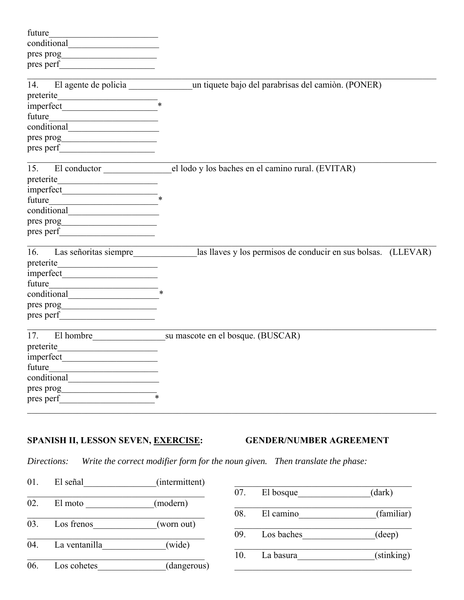| El agente de policia un tiquete bajo del parabrisas del camión. (PONER) |
|-------------------------------------------------------------------------|
|                                                                         |
|                                                                         |
|                                                                         |
|                                                                         |
|                                                                         |
|                                                                         |
|                                                                         |
|                                                                         |
|                                                                         |
|                                                                         |
|                                                                         |
| el lodo y los baches en el camino rural. (EVITAR)                       |
|                                                                         |
|                                                                         |
|                                                                         |
|                                                                         |
|                                                                         |
|                                                                         |
| las llaves y los permisos de conducir en sus bolsas. (LLEVAR)           |
|                                                                         |
|                                                                         |
|                                                                         |
|                                                                         |
|                                                                         |
|                                                                         |
| El hombre su mascote en el bosque. (BUSCAR)                             |
|                                                                         |
|                                                                         |
|                                                                         |
|                                                                         |
|                                                                         |
|                                                                         |
|                                                                         |

### SPANISH II, LESSON SEVEN, EXERCISE: **GENDER/NUMBER AGREEMENT**

*Directions: Write the correct modifier form for the noun given. Then translate the phase:*

01. El señal (intermittent) 02. El moto (modern) 03. Los frenos (worn out) 04. La ventanilla (wide) 06. Los cohetes (dangerous)  $\overline{07}$ . El bosque  $(dark)$ 08. El camino (familiar) \_\_\_\_\_\_\_\_\_\_\_\_\_\_\_\_\_\_\_\_\_\_\_\_\_\_\_\_\_\_\_\_\_\_\_\_\_\_\_ 09. Los baches\_\_\_\_\_\_\_\_\_\_\_\_\_\_\_\_(deep) 10. La basura (stinking)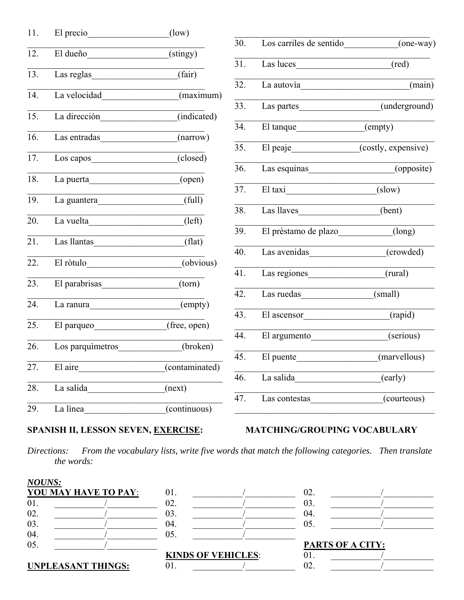| 11. | El precio                                                                                                                                                                                                                      | (low)                            |                   |                                          |                            |
|-----|--------------------------------------------------------------------------------------------------------------------------------------------------------------------------------------------------------------------------------|----------------------------------|-------------------|------------------------------------------|----------------------------|
|     |                                                                                                                                                                                                                                |                                  | 30.               | Los carriles de sentido                  | (one-way)                  |
| 12. | El dueño                                                                                                                                                                                                                       | $\overline{\text{(stingly)}}$    |                   |                                          |                            |
| 13. |                                                                                                                                                                                                                                | $\overline{\text{(fair)}}$       | 31.               | Las luces                                | $(\text{red})$             |
|     | Las reglas                                                                                                                                                                                                                     |                                  | $\overline{32}$ . | La autovia                               | (main)                     |
| 14. | La velocidad                                                                                                                                                                                                                   | (maximum)                        |                   | <u> 1990 - Johann Barbara, martxa al</u> |                            |
|     |                                                                                                                                                                                                                                |                                  | $\overline{33}$ . | Las partes                               | $\overline{(underground)}$ |
| 15. | La dirección                                                                                                                                                                                                                   | (indicated)                      |                   |                                          |                            |
|     |                                                                                                                                                                                                                                |                                  | 34.               | El tanque                                | (empty)                    |
| 16. | Las entradas                                                                                                                                                                                                                   | (narrow)                         |                   |                                          |                            |
| 17. |                                                                                                                                                                                                                                | (closed)                         | 35.               | El peaje                                 | (costly, expensive)        |
|     | Los capos                                                                                                                                                                                                                      |                                  | 36.               | Las esquinas                             | (opposite)                 |
| 18. | La puerta                                                                                                                                                                                                                      | (open)                           |                   |                                          |                            |
|     |                                                                                                                                                                                                                                |                                  | $\overline{37}$ . | El taxi                                  | (slow)                     |
| 19. | La guantera                                                                                                                                                                                                                    | (full)                           |                   |                                          |                            |
|     |                                                                                                                                                                                                                                |                                  | 38.               | Las llaves                               | (bent)                     |
| 20. | La vuelta                                                                                                                                                                                                                      | (left)                           |                   |                                          |                            |
| 21. | Las llantas                                                                                                                                                                                                                    | (flat)                           | $\overline{39}$ . | El prèstamo de plazo                     | (long)                     |
|     |                                                                                                                                                                                                                                |                                  | 40.               | Las avenidas                             | (crowded)                  |
| 22. | El ròtulo                                                                                                                                                                                                                      | (obvious)                        |                   |                                          |                            |
|     |                                                                                                                                                                                                                                |                                  | 41.               | Las regiones                             | (rural)                    |
| 23. | El parabrisas                                                                                                                                                                                                                  | (torn)                           |                   |                                          |                            |
|     |                                                                                                                                                                                                                                |                                  | $\overline{42.}$  | Las ruedas                               | (small)                    |
| 24. | La ranura en la contrata del contratto del contratto del contratto del contratto del contratto del contratto del contratto del contratto del contratto del contratto del contratto del contratto del contratto del contratto d | (empty)                          |                   |                                          |                            |
| 25. | El parqueo                                                                                                                                                                                                                     | (free, open)                     | 43.               | El ascensor                              | (rapid)                    |
|     |                                                                                                                                                                                                                                |                                  | 44.               | El argumento                             | (serious)                  |
| 26. | Los parquimetros                                                                                                                                                                                                               | (broken)                         |                   |                                          |                            |
|     |                                                                                                                                                                                                                                |                                  | 45.               | El puente                                | (marvellous)               |
| 27. | El aire                                                                                                                                                                                                                        | (contaminated)                   |                   |                                          |                            |
|     |                                                                                                                                                                                                                                |                                  | 46.               | La salida                                | (early)                    |
| 28. | La salida                                                                                                                                                                                                                      | (next)                           |                   |                                          |                            |
|     |                                                                                                                                                                                                                                |                                  | 47.               | Las contestas                            | (courteous)                |
| 29. | La lìnea                                                                                                                                                                                                                       | $\overline{\text{(continuous)}}$ |                   |                                          |                            |

## SPANISH II, LESSON SEVEN, EXERCISE:

## MATCHING/GROUPING VOCABULARY

Directions: From the vocabulary lists, write five words that match the following categories. Then translate the words:

| <b>NOUNS:</b>             |                      |     |                           |                         |  |
|---------------------------|----------------------|-----|---------------------------|-------------------------|--|
|                           | YOU MAY HAVE TO PAY: | 01. |                           | 02.                     |  |
| 01.                       |                      | 02. |                           | 03.                     |  |
| 02.                       |                      | 03. |                           | 04.                     |  |
| 03.                       |                      | 04. |                           | 05.                     |  |
| 04.                       |                      | 05. |                           |                         |  |
| 05.                       |                      |     |                           | <b>PARTS OF A CITY:</b> |  |
| <b>UNPLEASANT THINGS:</b> |                      |     | <b>KINDS OF VEHICLES:</b> | UI.                     |  |
|                           |                      | 01. |                           | 02.                     |  |
|                           |                      |     |                           |                         |  |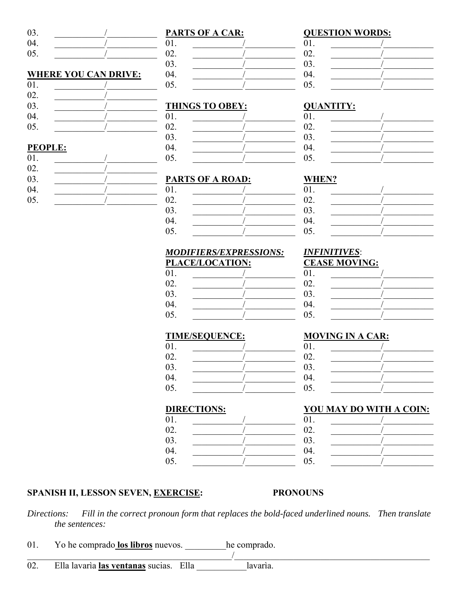03. 04. 05.

### **WHERE YOU CAN DRIVE:**

| 01. |  |
|-----|--|
| 02. |  |
| 03. |  |
| 04. |  |
| 05. |  |

### **PEOPLE:**

| 01. |  |
|-----|--|
| 02. |  |
| 03. |  |
| 04. |  |
| 05. |  |

| <b>PARTS OF A CAR:</b> |  |  |  |  |
|------------------------|--|--|--|--|
| 01.                    |  |  |  |  |
| 02.                    |  |  |  |  |
| 03.                    |  |  |  |  |
| 04.                    |  |  |  |  |
| 05.                    |  |  |  |  |

### **THINGS TO OBEY:**

| 01. |  |
|-----|--|
| 02. |  |
| 03. |  |
| 04. |  |
| 05. |  |

### **PARTS OF A ROAD:**

| 01. |  |
|-----|--|
| 02. |  |
| 03. |  |
| 04. |  |
| 05. |  |

### WHEN?  $01$ 02.

| 01. |  |
|-----|--|
| 02. |  |
| 03. |  |
| 04. |  |
| 05. |  |
|     |  |

 $\sqrt{2}$ 

#### <u>MODIFIERS/EXPRESSIONS:</u> PLACE/LOCATION:

| 01. |  |
|-----|--|
| 02. |  |
| 03. |  |
| 04. |  |
| 05. |  |

# **INFINITIVES:**

|     | $\frac{1}{2}$ |
|-----|---------------|
| 01. |               |
| 02. |               |
| 03. |               |
| 04. |               |
| 05. |               |
|     |               |

 $\sqrt{2}$ 

 $\sqrt{ }$ 

### **TIME/SEQUENCE:**

| 01. |  |
|-----|--|
| 02. |  |
| 03. |  |
| 04. |  |
| 05. |  |

#### 04.  $\sqrt{2}$

**MOVING IN A CAR:** 

#### **DIRECTIONS:**

|     | ___ |  |
|-----|-----|--|
| 01. | 01. |  |
| 02. | 02. |  |
| 03. | 03. |  |
| 04. | 04. |  |
| 05. | 05. |  |
|     |     |  |

### **SPANISH II, LESSON SEVEN, EXERCISE:**

#### **PRONOUNS**

Fill in the correct pronoun form that replaces the bold-faced underlined nouns. Then translate Directions: the sentences:

 $\frac{1}{2}$ 

- 01. Yo he comprado los libros nuevos. he comprado.
- Ella lavaria las ventanas sucias. Ella 02. lavaria.

### **QUESTION WORDS:**

**QUANTITY:** 

01.

02.

03.

04.

05.

| 01. |  |
|-----|--|
| 02. |  |
| 03. |  |
| 04. |  |
| 05. |  |

| <b>CEASE MOVING:</b> |  |  |
|----------------------|--|--|
| 01.                  |  |  |
| 02.                  |  |  |
| 03.                  |  |  |
| 04.                  |  |  |
| - -                  |  |  |

# 05.

 $01.$ 

02. 03.

| YOU MAY DO WITH A COIN: |  |  |  |  |
|-------------------------|--|--|--|--|
| 01.                     |  |  |  |  |
| 02.                     |  |  |  |  |
| 03.                     |  |  |  |  |
| 04.                     |  |  |  |  |
| 05.                     |  |  |  |  |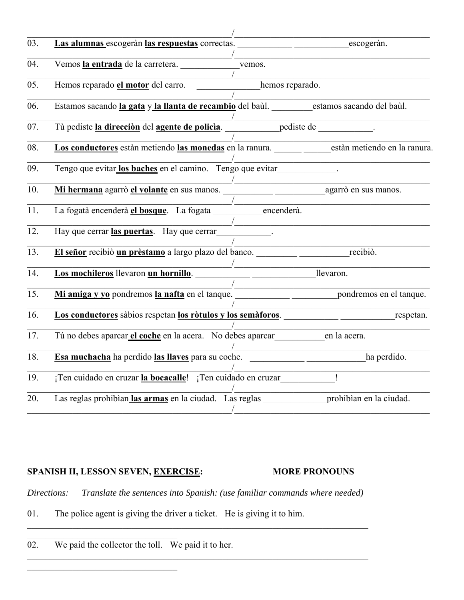| 03. | Las alumnas escogeràn las respuestas correctas. escogeràn.                                                                                                                                                                     |                                              |             |
|-----|--------------------------------------------------------------------------------------------------------------------------------------------------------------------------------------------------------------------------------|----------------------------------------------|-------------|
| 04. | Vemos la entrada de la carretera. vemos.                                                                                                                                                                                       |                                              |             |
| 05. | Hemos reparado el motor del carro.                                                                                                                                                                                             | hemos reparado.                              |             |
| 06. | Estamos sacando la gata y la llanta de recambio del baùl. estamos sacando del baùl.                                                                                                                                            |                                              |             |
| 07. | Tù pediste la dirección del agente de policia. pediste de policiera de policiera de policiera de policiera de policiera de policiera de policiera de policiera de policiera de policiera de policiera de policiera de policier |                                              |             |
| 08. | Los conductores están metiendo las monedas en la ranura. están metiendo en la ranura.                                                                                                                                          |                                              |             |
| 09. | Tengo que evitar los baches en el camino. Tengo que evitar                                                                                                                                                                     |                                              |             |
| 10. |                                                                                                                                                                                                                                |                                              |             |
| 11. | La fogatà encenderà el bosque. La fogata encenderà.                                                                                                                                                                            |                                              |             |
| 12. | Hay que cerrar las puertas. Hay que cerrar                                                                                                                                                                                     |                                              |             |
| 13. | El señor recibiò un prèstamo a largo plazo del banco.                                                                                                                                                                          |                                              | recibiò.    |
| 14. | Los mochileros llevaron un hornillo.<br>llevaron.                                                                                                                                                                              |                                              |             |
| 15. |                                                                                                                                                                                                                                | the control of the control of the control of |             |
| 16. | Los conductores sàbios respetan los ròtulos y los semàforos.                                                                                                                                                                   |                                              | respetan.   |
| 17. | Tú no debes aparcar el coche en la acera. No debes aparcar en la acera.                                                                                                                                                        |                                              |             |
| 18. |                                                                                                                                                                                                                                |                                              | ha perdido. |
| 19. | ¡Ten cuidado en cruzar la bocacalle! ¡Ten cuidado en cruzar_                                                                                                                                                                   |                                              |             |
| 20. | Las reglas prohibian las armas en la ciudad. Las reglas prohibian en la ciudad.                                                                                                                                                |                                              |             |
|     |                                                                                                                                                                                                                                |                                              |             |

### SPANISH II, LESSON SEVEN, EXERCISE: MORE PRONOUNS

*Directions: Translate the sentences into Spanish: (use familiar commands where needed)*

 $\_$  , and the set of the set of the set of the set of the set of the set of the set of the set of the set of the set of the set of the set of the set of the set of the set of the set of the set of the set of the set of th

- 01. The police agent is giving the driver a ticket. He is giving it to him.
- 02. We paid the collector the toll. We paid it to her.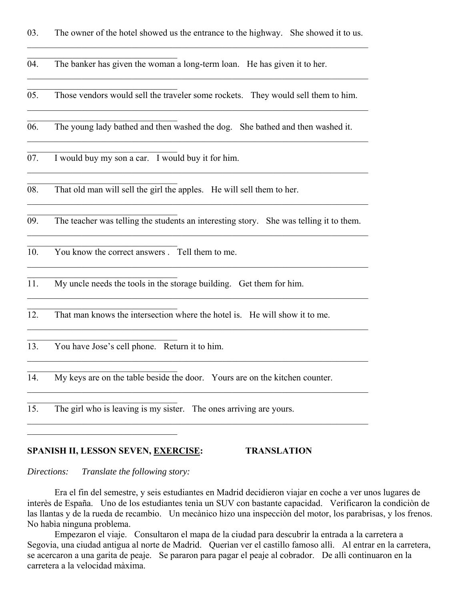03. The owner of the hotel showed us the entrance to the highway. She showed it to us.

04. The banker has given the woman a long-term loan. He has given it to her.

05. Those vendors would sell the traveler some rockets. They would sell them to him.

06. The young lady bathed and then washed the dog. She bathed and then washed it.

07. I would buy my son a car. I would buy it for him.

08. That old man will sell the girl the apples. He will sell them to her.

09. The teacher was telling the students an interesting story. She was telling it to them.

10. You know the correct answers . Tell them to me.

11. My uncle needs the tools in the storage building. Get them for him.

12. That man knows the intersection where the hotel is. He will show it to me.

13. You have Jose's cell phone. Return it to him.

 $\mathcal{L}_\text{max}$  and  $\mathcal{L}_\text{max}$  and  $\mathcal{L}_\text{max}$  and  $\mathcal{L}_\text{max}$ 

14. My keys are on the table beside the door. Yours are on the kitchen counter.

 $\mathcal{L}_\mathcal{L} = \mathcal{L}_\mathcal{L} = \mathcal{L}_\mathcal{L} = \mathcal{L}_\mathcal{L} = \mathcal{L}_\mathcal{L} = \mathcal{L}_\mathcal{L} = \mathcal{L}_\mathcal{L} = \mathcal{L}_\mathcal{L} = \mathcal{L}_\mathcal{L} = \mathcal{L}_\mathcal{L} = \mathcal{L}_\mathcal{L} = \mathcal{L}_\mathcal{L} = \mathcal{L}_\mathcal{L} = \mathcal{L}_\mathcal{L} = \mathcal{L}_\mathcal{L} = \mathcal{L}_\mathcal{L} = \mathcal{L}_\mathcal{L}$ 

15. The girl who is leaving is my sister. The ones arriving are yours.

#### **SPANISH II, LESSON SEVEN, EXERCISE: TRANSLATION**

*Directions: Translate the following story:*

 Era el fin del semestre, y seis estudiantes en Madrid decidieron viajar en coche a ver unos lugares de interès de España. Uno de los estudiantes tenìa un SUV con bastante capacidad. Verificaron la condiciòn de las llantas y de la rueda de recambio. Un mecànico hizo una inspecciòn del motor, los parabrisas, y los frenos. No habìa ninguna problema.

 Empezaron el viaje. Consultaron el mapa de la ciudad para descubrir la entrada a la carretera a Segovia, una ciudad antigua al norte de Madrid. Querìan ver el castillo famoso allì. Al entrar en la carretera, se acercaron a una garita de peaje. Se pararon para pagar el peaje al cobrador. De allì continuaron en la carretera a la velocidad màxima.